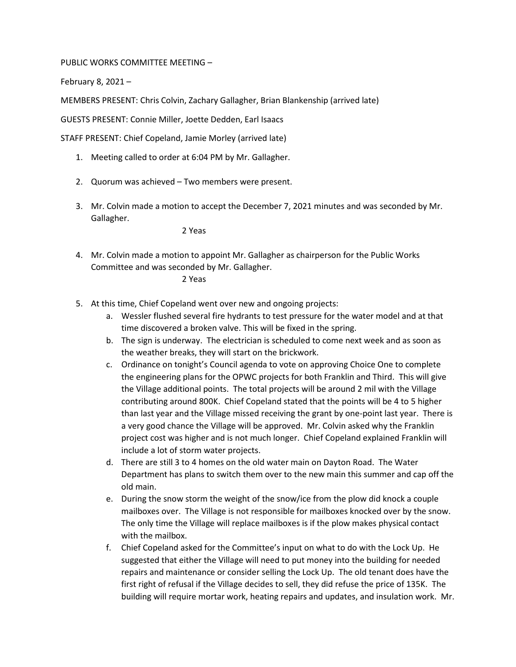PUBLIC WORKS COMMITTEE MEETING –

February 8, 2021 –

MEMBERS PRESENT: Chris Colvin, Zachary Gallagher, Brian Blankenship (arrived late)

GUESTS PRESENT: Connie Miller, Joette Dedden, Earl Isaacs

STAFF PRESENT: Chief Copeland, Jamie Morley (arrived late)

- 1. Meeting called to order at 6:04 PM by Mr. Gallagher.
- 2. Quorum was achieved Two members were present.
- 3. Mr. Colvin made a motion to accept the December 7, 2021 minutes and was seconded by Mr. Gallagher.

2 Yeas

4. Mr. Colvin made a motion to appoint Mr. Gallagher as chairperson for the Public Works Committee and was seconded by Mr. Gallagher.

2 Yeas

- 5. At this time, Chief Copeland went over new and ongoing projects:
	- a. Wessler flushed several fire hydrants to test pressure for the water model and at that time discovered a broken valve. This will be fixed in the spring.
	- b. The sign is underway. The electrician is scheduled to come next week and as soon as the weather breaks, they will start on the brickwork.
	- c. Ordinance on tonight's Council agenda to vote on approving Choice One to complete the engineering plans for the OPWC projects for both Franklin and Third. This will give the Village additional points. The total projects will be around 2 mil with the Village contributing around 800K. Chief Copeland stated that the points will be 4 to 5 higher than last year and the Village missed receiving the grant by one-point last year. There is a very good chance the Village will be approved. Mr. Colvin asked why the Franklin project cost was higher and is not much longer. Chief Copeland explained Franklin will include a lot of storm water projects.
	- d. There are still 3 to 4 homes on the old water main on Dayton Road. The Water Department has plans to switch them over to the new main this summer and cap off the old main.
	- e. During the snow storm the weight of the snow/ice from the plow did knock a couple mailboxes over. The Village is not responsible for mailboxes knocked over by the snow. The only time the Village will replace mailboxes is if the plow makes physical contact with the mailbox.
	- f. Chief Copeland asked for the Committee's input on what to do with the Lock Up. He suggested that either the Village will need to put money into the building for needed repairs and maintenance or consider selling the Lock Up. The old tenant does have the first right of refusal if the Village decides to sell, they did refuse the price of 135K. The building will require mortar work, heating repairs and updates, and insulation work. Mr.